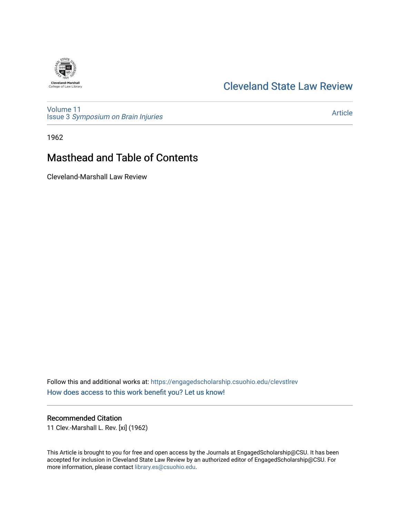## [Cleveland State Law Review](https://engagedscholarship.csuohio.edu/clevstlrev)

**Cleveland-Marshall**<br>College of Law Library

[Volume 11](https://engagedscholarship.csuohio.edu/clevstlrev/vol11) Issue 3 [Symposium on Brain Injuries](https://engagedscholarship.csuohio.edu/clevstlrev/vol11/iss3) 

[Article](https://engagedscholarship.csuohio.edu/clevstlrev/vol11/iss3/2) 

1962

# Masthead and Table of Contents

Cleveland-Marshall Law Review

Follow this and additional works at: [https://engagedscholarship.csuohio.edu/clevstlrev](https://engagedscholarship.csuohio.edu/clevstlrev?utm_source=engagedscholarship.csuohio.edu%2Fclevstlrev%2Fvol11%2Fiss3%2F2&utm_medium=PDF&utm_campaign=PDFCoverPages) [How does access to this work benefit you? Let us know!](http://library.csuohio.edu/engaged/)

## Recommended Citation

11 Clev.-Marshall L. Rev. [xi] (1962)

This Article is brought to you for free and open access by the Journals at EngagedScholarship@CSU. It has been accepted for inclusion in Cleveland State Law Review by an authorized editor of EngagedScholarship@CSU. For more information, please contact [library.es@csuohio.edu](mailto:library.es@csuohio.edu).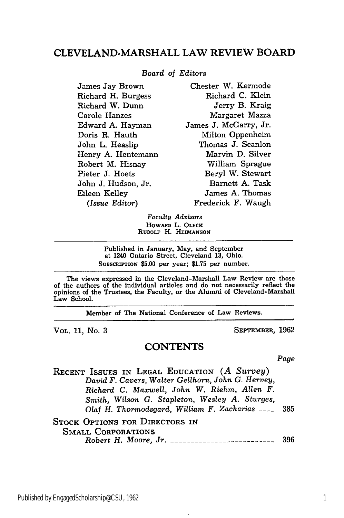## **CLEVELAND-MARSHALL** LAW REVIEW BOARD

#### *Board of Editors*

James Jay Brown Richard H. Burgess Richard W. Dunn Carole Hanzes Edward A. Hayman Doris R. Hauth John L. Heaslip Henry A. Hentemann Robert M. Hisnay Pieter J. Hoets John J. Hudson, Jr. Eileen Kelley *(Issue Editor)* Chester W. Kermode Richard **C.** Klein Jerry B. Kraig Margaret Mazza James J. McGarry, Jr. Milton Oppenheim Thomas J. Scanlon Marvin D. Silver William Sprague Beryl W. Stewart Barnett A. Task James A. Thomas Frederick F. Waugh

> *Faculty Advisors* HOWARD L. **OLECK** RUDOLF H. HEIMANSON

Published in January, May, and September at 1240 Ontario Street, Cleveland **13,** Ohio. SUBSCRIPTION \$5.00 per year; \$1.75 per number.

The views expressed in the Cleveland-Marshall Law Review are those of the authors of the individual articles and do not necessarily reflect the opinions of the Trustees, the Faculty, or the Alumni of Cleveland-Marshall Law School.

Member of The National Conference of Law Reviews.

VOL. **11,** No. **3** SEPTEMBER, 1962

#### **CONTENTS**

*Page*

RECENT **ISSUES** IN LEGAL EDUCATION *(A Survey) David F. Cavers, Walter Gellhorn, John G. Hervey, Richard C. Maxwell, John W. Riehm, Allen F. Smith, Wilson G. Stapleton, Wesley A. Sturges, Olaf H. Thormodsgard, William F. Zacharias* **----** 385 STOCK OPTIONS FOR DIRECTORS IN

**SMALL** CORPORATIONS *Robert H. Moore, Jr. ------------------------- <sup>396</sup>*